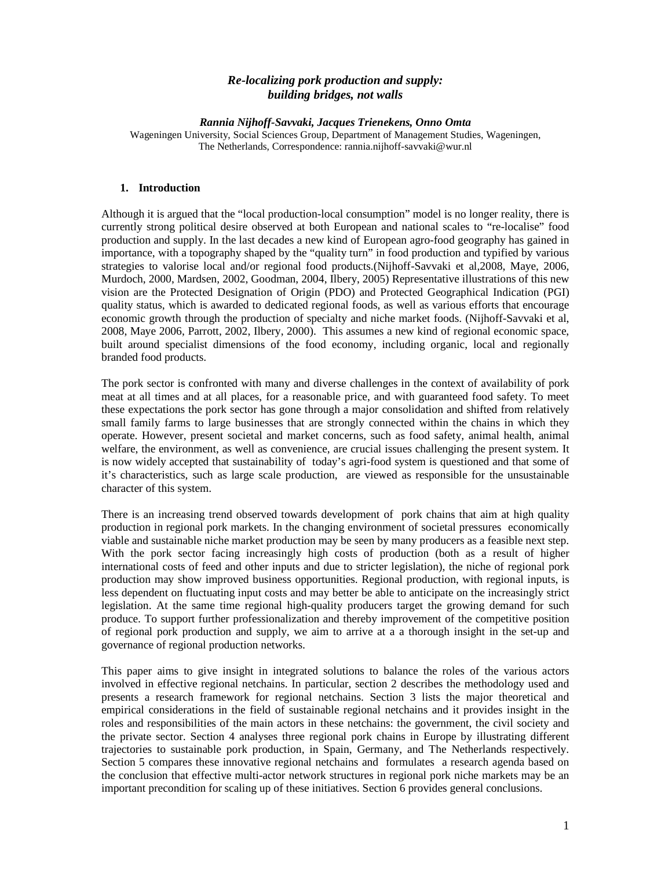# *Re-localizing pork production and supply: building bridges, not walls*

### *Rannia Nijhoff-Savvaki, Jacques Trienekens, Onno Omta*

Wageningen University, Social Sciences Group, Department of Management Studies, Wageningen, The Netherlands, Correspondence: rannia.nijhoff-savvaki@wur.nl

### **1. Introduction**

Although it is argued that the "local production-local consumption" model is no longer reality, there is currently strong political desire observed at both European and national scales to "re-localise" food production and supply. In the last decades a new kind of European agro-food geography has gained in importance, with a topography shaped by the "quality turn" in food production and typified by various strategies to valorise local and/or regional food products.(Nijhoff-Savvaki et al,2008, Maye, 2006, Murdoch, 2000, Mardsen, 2002, Goodman, 2004, Ilbery, 2005) Representative illustrations of this new vision are the Protected Designation of Origin (PDO) and Protected Geographical Indication (PGI) quality status, which is awarded to dedicated regional foods, as well as various efforts that encourage economic growth through the production of specialty and niche market foods. (Nijhoff-Savvaki et al, 2008, Maye 2006, Parrott, 2002, Ilbery, 2000). This assumes a new kind of regional economic space, built around specialist dimensions of the food economy, including organic, local and regionally branded food products.

The pork sector is confronted with many and diverse challenges in the context of availability of pork meat at all times and at all places, for a reasonable price, and with guaranteed food safety. To meet these expectations the pork sector has gone through a major consolidation and shifted from relatively small family farms to large businesses that are strongly connected within the chains in which they operate. However, present societal and market concerns, such as food safety, animal health, animal welfare, the environment, as well as convenience, are crucial issues challenging the present system. It is now widely accepted that sustainability of today's agri-food system is questioned and that some of it's characteristics, such as large scale production, are viewed as responsible for the unsustainable character of this system.

There is an increasing trend observed towards development of pork chains that aim at high quality production in regional pork markets. In the changing environment of societal pressures economically viable and sustainable niche market production may be seen by many producers as a feasible next step. With the pork sector facing increasingly high costs of production (both as a result of higher international costs of feed and other inputs and due to stricter legislation), the niche of regional pork production may show improved business opportunities. Regional production, with regional inputs, is less dependent on fluctuating input costs and may better be able to anticipate on the increasingly strict legislation. At the same time regional high-quality producers target the growing demand for such produce. To support further professionalization and thereby improvement of the competitive position of regional pork production and supply, we aim to arrive at a a thorough insight in the set-up and governance of regional production networks.

This paper aims to give insight in integrated solutions to balance the roles of the various actors involved in effective regional netchains. In particular, section 2 describes the methodology used and presents a research framework for regional netchains. Section 3 lists the major theoretical and empirical considerations in the field of sustainable regional netchains and it provides insight in the roles and responsibilities of the main actors in these netchains: the government, the civil society and the private sector. Section 4 analyses three regional pork chains in Europe by illustrating different trajectories to sustainable pork production, in Spain, Germany, and The Netherlands respectively. Section 5 compares these innovative regional netchains and formulates a research agenda based on the conclusion that effective multi-actor network structures in regional pork niche markets may be an important precondition for scaling up of these initiatives. Section 6 provides general conclusions.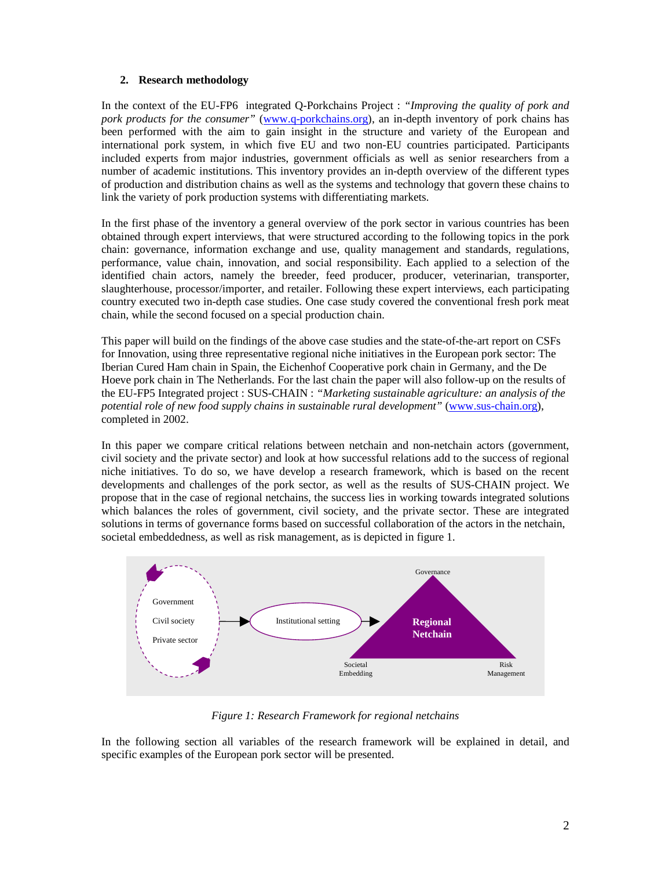# **2. Research methodology**

In the context of the EU-FP6 integrated Q-Porkchains Project : *"Improving the quality of pork and pork products for the consumer*" (www.q-porkchains.org), an in-depth inventory of pork chains has been performed with the aim to gain insight in the structure and variety of the European and international pork system, in which five EU and two non-EU countries participated. Participants included experts from major industries, government officials as well as senior researchers from a number of academic institutions. This inventory provides an in-depth overview of the different types of production and distribution chains as well as the systems and technology that govern these chains to link the variety of pork production systems with differentiating markets.

In the first phase of the inventory a general overview of the pork sector in various countries has been obtained through expert interviews, that were structured according to the following topics in the pork chain: governance, information exchange and use, quality management and standards, regulations, performance, value chain, innovation, and social responsibility. Each applied to a selection of the identified chain actors, namely the breeder, feed producer, producer, veterinarian, transporter, slaughterhouse, processor/importer, and retailer. Following these expert interviews, each participating country executed two in-depth case studies. One case study covered the conventional fresh pork meat chain, while the second focused on a special production chain.

This paper will build on the findings of the above case studies and the state-of-the-art report on CSFs for Innovation, using three representative regional niche initiatives in the European pork sector: The Iberian Cured Ham chain in Spain, the Eichenhof Cooperative pork chain in Germany, and the De Hoeve pork chain in The Netherlands. For the last chain the paper will also follow-up on the results of the EU-FP5 Integrated project : SUS-CHAIN : *"Marketing sustainable agriculture: an analysis of the potential role of new food supply chains in sustainable rural development"* (www.sus-chain.org), completed in 2002.

In this paper we compare critical relations between netchain and non-netchain actors (government, civil society and the private sector) and look at how successful relations add to the success of regional niche initiatives. To do so, we have develop a research framework, which is based on the recent developments and challenges of the pork sector, as well as the results of SUS-CHAIN project. We propose that in the case of regional netchains, the success lies in working towards integrated solutions which balances the roles of government, civil society, and the private sector. These are integrated solutions in terms of governance forms based on successful collaboration of the actors in the netchain, societal embeddedness, as well as risk management, as is depicted in figure 1.



*Figure 1: Research Framework for regional netchains*

In the following section all variables of the research framework will be explained in detail, and specific examples of the European pork sector will be presented.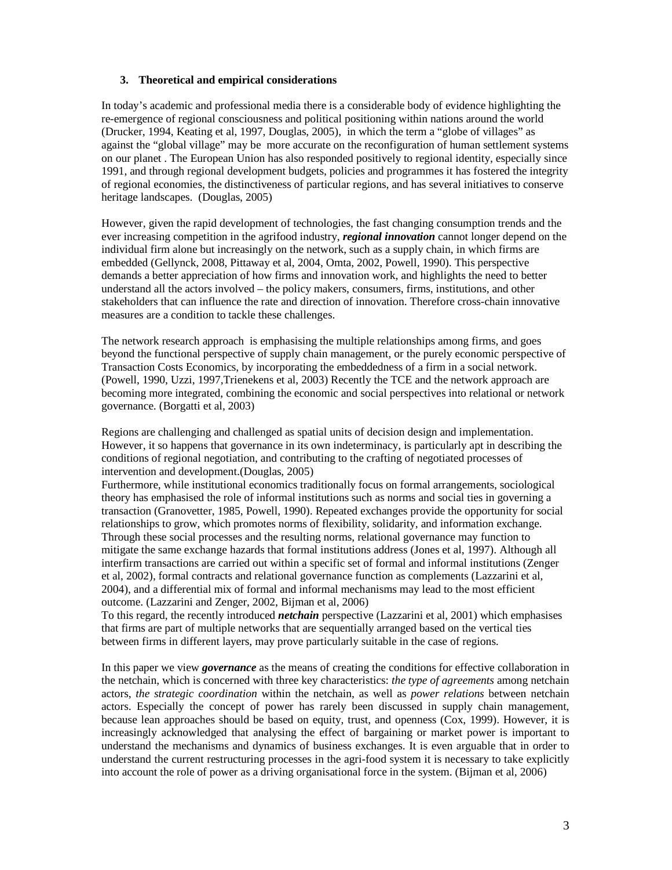### **3. Theoretical and empirical considerations**

In today's academic and professional media there is a considerable body of evidence highlighting the re-emergence of regional consciousness and political positioning within nations around the world (Drucker, 1994, Keating et al, 1997, Douglas, 2005), in which the term a "globe of villages" as against the "global village" may be more accurate on the reconfiguration of human settlement systems on our planet . The European Union has also responded positively to regional identity, especially since 1991, and through regional development budgets, policies and programmes it has fostered the integrity of regional economies, the distinctiveness of particular regions, and has several initiatives to conserve heritage landscapes. (Douglas, 2005)

However, given the rapid development of technologies, the fast changing consumption trends and the ever increasing competition in the agrifood industry, *regional innovation* cannot longer depend on the individual firm alone but increasingly on the network, such as a supply chain, in which firms are embedded (Gellynck, 2008, Pittaway et al, 2004, Omta, 2002, Powell, 1990). This perspective demands a better appreciation of how firms and innovation work, and highlights the need to better understand all the actors involved – the policy makers, consumers, firms, institutions, and other stakeholders that can influence the rate and direction of innovation. Therefore cross-chain innovative measures are a condition to tackle these challenges.

The network research approach is emphasising the multiple relationships among firms, and goes beyond the functional perspective of supply chain management, or the purely economic perspective of Transaction Costs Economics, by incorporating the embeddedness of a firm in a social network. (Powell, 1990, Uzzi, 1997,Trienekens et al, 2003) Recently the TCE and the network approach are becoming more integrated, combining the economic and social perspectives into relational or network governance. (Borgatti et al, 2003)

Regions are challenging and challenged as spatial units of decision design and implementation. However, it so happens that governance in its own indeterminacy, is particularly apt in describing the conditions of regional negotiation, and contributing to the crafting of negotiated processes of intervention and development.(Douglas, 2005)

Furthermore, while institutional economics traditionally focus on formal arrangements, sociological theory has emphasised the role of informal institutions such as norms and social ties in governing a transaction (Granovetter, 1985, Powell, 1990). Repeated exchanges provide the opportunity for social relationships to grow, which promotes norms of flexibility, solidarity, and information exchange. Through these social processes and the resulting norms, relational governance may function to mitigate the same exchange hazards that formal institutions address (Jones et al, 1997). Although all interfirm transactions are carried out within a specific set of formal and informal institutions (Zenger et al, 2002), formal contracts and relational governance function as complements (Lazzarini et al, 2004), and a differential mix of formal and informal mechanisms may lead to the most efficient outcome. (Lazzarini and Zenger, 2002, Bijman et al, 2006)

To this regard, the recently introduced *netchain* perspective (Lazzarini et al, 2001) which emphasises that firms are part of multiple networks that are sequentially arranged based on the vertical ties between firms in different layers, may prove particularly suitable in the case of regions.

In this paper we view *governance* as the means of creating the conditions for effective collaboration in the netchain, which is concerned with three key characteristics: *the type of agreements* among netchain actors, *the strategic coordination* within the netchain, as well as *power relations* between netchain actors. Especially the concept of power has rarely been discussed in supply chain management, because lean approaches should be based on equity, trust, and openness (Cox, 1999). However, it is increasingly acknowledged that analysing the effect of bargaining or market power is important to understand the mechanisms and dynamics of business exchanges. It is even arguable that in order to understand the current restructuring processes in the agri-food system it is necessary to take explicitly into account the role of power as a driving organisational force in the system. (Bijman et al, 2006)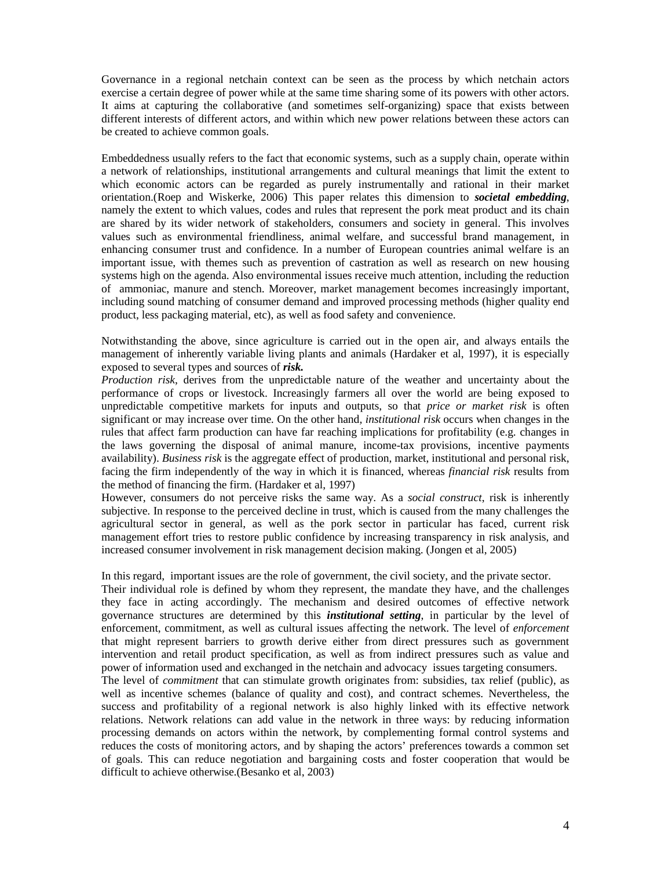Governance in a regional netchain context can be seen as the process by which netchain actors exercise a certain degree of power while at the same time sharing some of its powers with other actors. It aims at capturing the collaborative (and sometimes self-organizing) space that exists between different interests of different actors, and within which new power relations between these actors can be created to achieve common goals.

Embeddedness usually refers to the fact that economic systems, such as a supply chain, operate within a network of relationships, institutional arrangements and cultural meanings that limit the extent to which economic actors can be regarded as purely instrumentally and rational in their market orientation.(Roep and Wiskerke, 2006) This paper relates this dimension to *societal embedding*, namely the extent to which values, codes and rules that represent the pork meat product and its chain are shared by its wider network of stakeholders, consumers and society in general. This involves values such as environmental friendliness, animal welfare, and successful brand management, in enhancing consumer trust and confidence. In a number of European countries animal welfare is an important issue, with themes such as prevention of castration as well as research on new housing systems high on the agenda. Also environmental issues receive much attention, including the reduction of ammoniac, manure and stench. Moreover, market management becomes increasingly important, including sound matching of consumer demand and improved processing methods (higher quality end product, less packaging material, etc), as well as food safety and convenience.

Notwithstanding the above, since agriculture is carried out in the open air, and always entails the management of inherently variable living plants and animals (Hardaker et al, 1997), it is especially exposed to several types and sources of *risk.*

*Production risk*, derives from the unpredictable nature of the weather and uncertainty about the performance of crops or livestock. Increasingly farmers all over the world are being exposed to unpredictable competitive markets for inputs and outputs, so that *price or market risk* is often significant or may increase over time. On the other hand*, institutional risk* occurs when changes in the rules that affect farm production can have far reaching implications for profitability (e.g. changes in the laws governing the disposal of animal manure, income-tax provisions, incentive payments availability). *Business risk* is the aggregate effect of production, market, institutional and personal risk, facing the firm independently of the way in which it is financed, whereas *financial risk* results from the method of financing the firm. (Hardaker et al, 1997)

However, consumers do not perceive risks the same way. As a *social construct*, risk is inherently subjective. In response to the perceived decline in trust, which is caused from the many challenges the agricultural sector in general, as well as the pork sector in particular has faced, current risk management effort tries to restore public confidence by increasing transparency in risk analysis, and increased consumer involvement in risk management decision making. (Jongen et al, 2005)

In this regard, important issues are the role of government, the civil society, and the private sector.

Their individual role is defined by whom they represent, the mandate they have, and the challenges they face in acting accordingly. The mechanism and desired outcomes of effective network governance structures are determined by this *institutional setting*, in particular by the level of enforcement, commitment, as well as cultural issues affecting the network. The level of *enforcement* that might represent barriers to growth derive either from direct pressures such as government intervention and retail product specification, as well as from indirect pressures such as value and power of information used and exchanged in the netchain and advocacy issues targeting consumers.

The level of *commitment* that can stimulate growth originates from: subsidies, tax relief (public), as well as incentive schemes (balance of quality and cost), and contract schemes. Nevertheless, the success and profitability of a regional network is also highly linked with its effective network relations. Network relations can add value in the network in three ways: by reducing information processing demands on actors within the network, by complementing formal control systems and reduces the costs of monitoring actors, and by shaping the actors' preferences towards a common set of goals. This can reduce negotiation and bargaining costs and foster cooperation that would be difficult to achieve otherwise.(Besanko et al, 2003)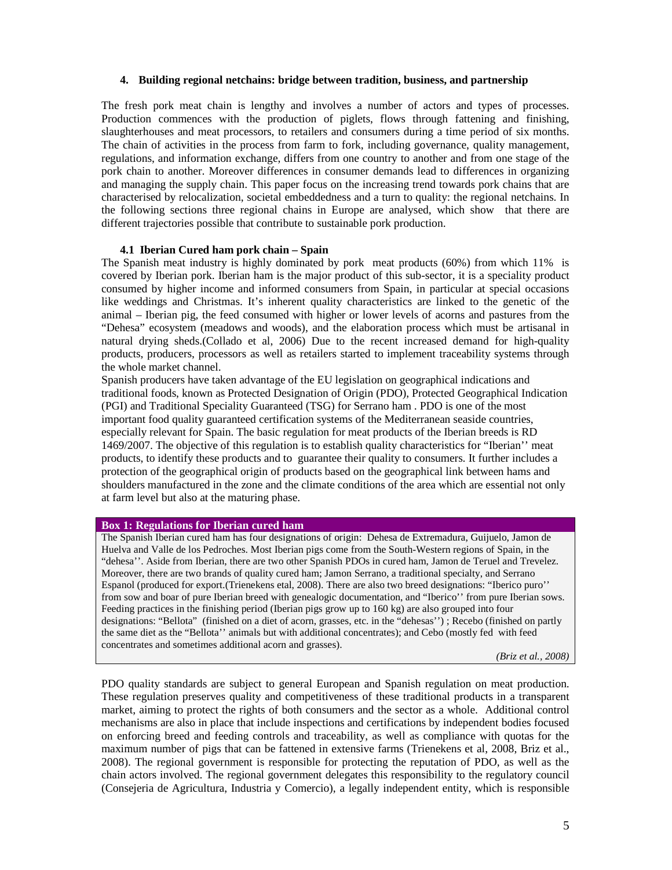### **4. Building regional netchains: bridge between tradition, business, and partnership**

The fresh pork meat chain is lengthy and involves a number of actors and types of processes. Production commences with the production of piglets, flows through fattening and finishing, slaughterhouses and meat processors, to retailers and consumers during a time period of six months. The chain of activities in the process from farm to fork, including governance, quality management, regulations, and information exchange, differs from one country to another and from one stage of the pork chain to another. Moreover differences in consumer demands lead to differences in organizing and managing the supply chain. This paper focus on the increasing trend towards pork chains that are characterised by relocalization, societal embeddedness and a turn to quality: the regional netchains. In the following sections three regional chains in Europe are analysed, which show that there are different trajectories possible that contribute to sustainable pork production.

#### **4.1 Iberian Cured ham pork chain – Spain**

The Spanish meat industry is highly dominated by pork meat products (60%) from which 11% is covered by Iberian pork. Iberian ham is the major product of this sub-sector, it is a speciality product consumed by higher income and informed consumers from Spain, in particular at special occasions like weddings and Christmas. It's inherent quality characteristics are linked to the genetic of the animal – Iberian pig, the feed consumed with higher or lower levels of acorns and pastures from the "Dehesa" ecosystem (meadows and woods), and the elaboration process which must be artisanal in natural drying sheds.(Collado et al, 2006) Due to the recent increased demand for high-quality products, producers, processors as well as retailers started to implement traceability systems through the whole market channel.

Spanish producers have taken advantage of the EU legislation on geographical indications and traditional foods, known as Protected Designation of Origin (PDO), Protected Geographical Indication (PGI) and Traditional Speciality Guaranteed (TSG) for Serrano ham . PDO is one of the most important food quality guaranteed certification systems of the Mediterranean seaside countries, especially relevant for Spain. The basic regulation for meat products of the Iberian breeds is RD 1469/2007. The objective of this regulation is to establish quality characteristics for "Iberian'' meat products, to identify these products and to guarantee their quality to consumers. It further includes a protection of the geographical origin of products based on the geographical link between hams and shoulders manufactured in the zone and the climate conditions of the area which are essential not only at farm level but also at the maturing phase.

#### **Box 1: Regulations for Iberian cured ham**

The Spanish Iberian cured ham has four designations of origin: Dehesa de Extremadura, Guijuelo, Jamon de Huelva and Valle de los Pedroches. Most Iberian pigs come from the South-Western regions of Spain, in the "dehesa''. Aside from Iberian, there are two other Spanish PDOs in cured ham, Jamon de Teruel and Trevelez. Moreover, there are two brands of quality cured ham; Jamon Serrano, a traditional specialty, and Serrano Espanol (produced for export.(Trienekens etal, 2008). There are also two breed designations: "Iberico puro'' from sow and boar of pure Iberian breed with genealogic documentation, and "Iberico'' from pure Iberian sows. Feeding practices in the finishing period (Iberian pigs grow up to 160 kg) are also grouped into four designations: "Bellota" (finished on a diet of acorn, grasses, etc. in the "dehesas'') ; Recebo (finished on partly the same diet as the "Bellota'' animals but with additional concentrates); and Cebo (mostly fed with feed concentrates and sometimes additional acorn and grasses).

*(Briz et al., 2008)* 

PDO quality standards are subject to general European and Spanish regulation on meat production. These regulation preserves quality and competitiveness of these traditional products in a transparent market, aiming to protect the rights of both consumers and the sector as a whole. Additional control mechanisms are also in place that include inspections and certifications by independent bodies focused on enforcing breed and feeding controls and traceability, as well as compliance with quotas for the maximum number of pigs that can be fattened in extensive farms (Trienekens et al, 2008, Briz et al., 2008). The regional government is responsible for protecting the reputation of PDO, as well as the chain actors involved. The regional government delegates this responsibility to the regulatory council (Consejeria de Agricultura, Industria y Comercio), a legally independent entity, which is responsible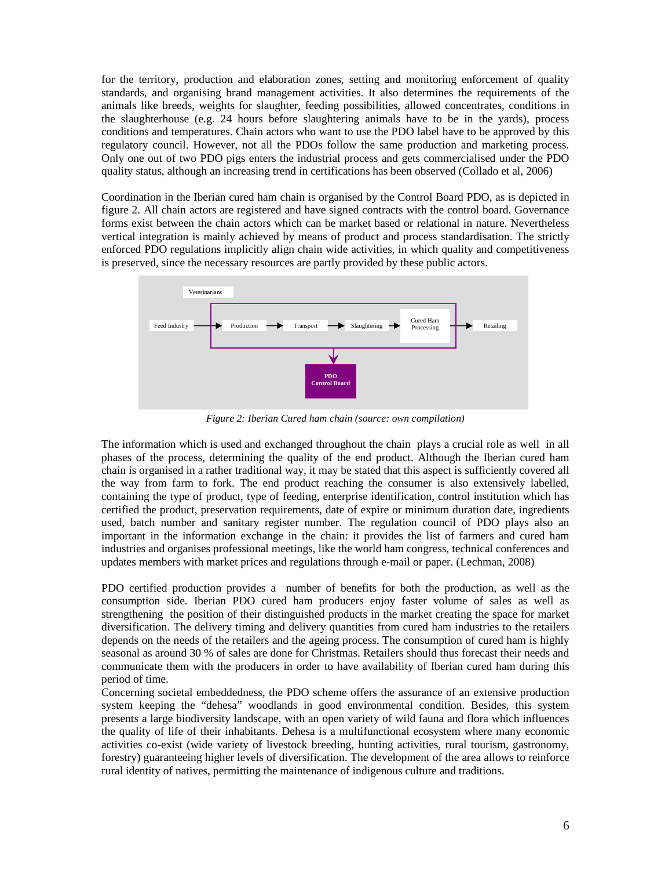for the territory, production and elaboration zones, setting and monitoring enforcement of quality standards, and organising brand management activities. It also determines the requirements of the animals like breeds, weights for slaughter, feeding possibilities, allowed concentrates, conditions in the slaughterhouse (e.g. 24 hours before slaughtering animals have to be in the yards), process conditions and temperatures. Chain actors who want to use the PDO label have to be approved by this regulatory council. However, not all the PDOs follow the same production and marketing process. Only one out of two PDO pigs enters the industrial process and gets commercialised under the PDO quality status, although an increasing trend in certifications has been observed (Collado et al, 2006)

Coordination in the Iberian cured ham chain is organised by the Control Board PDO, as is depicted in figure 2. All chain actors are registered and have signed contracts with the control board. Governance forms exist between the chain actors which can be market based or relational in nature. Nevertheless vertical integration is mainly achieved by means of product and process standardisation. The strictly enforced PDO regulations implicitly align chain wide activities, in which quality and competitiveness is preserved, since the necessary resources are partly provided by these public actors.



*Figure 2: Iberian Cured ham chain (source: own compilation)* 

The information which is used and exchanged throughout the chain plays a crucial role as well in all phases of the process, determining the quality of the end product. Although the Iberian cured ham chain is organised in a rather traditional way, it may be stated that this aspect is sufficiently covered all the way from farm to fork. The end product reaching the consumer is also extensively labelled, containing the type of product, type of feeding, enterprise identification, control institution which has certified the product, preservation requirements, date of expire or minimum duration date, ingredients used, batch number and sanitary register number. The regulation council of PDO plays also an important in the information exchange in the chain: it provides the list of farmers and cured ham industries and organises professional meetings, like the world ham congress, technical conferences and updates members with market prices and regulations through e-mail or paper. (Lechman, 2008)

PDO certified production provides a number of benefits for both the production, as well as the consumption side. Iberian PDO cured ham producers enjoy faster volume of sales as well as strengthening the position of their distinguished products in the market creating the space for market diversification. The delivery timing and delivery quantities from cured ham industries to the retailers depends on the needs of the retailers and the ageing process. The consumption of cured ham is highly seasonal as around 30 % of sales are done for Christmas. Retailers should thus forecast their needs and communicate them with the producers in order to have availability of Iberian cured ham during this period of time.

Concerning societal embeddedness, the PDO scheme offers the assurance of an extensive production system keeping the "dehesa" woodlands in good environmental condition. Besides, this system presents a large biodiversity landscape, with an open variety of wild fauna and flora which influences the quality of life of their inhabitants. Dehesa is a multifunctional ecosystem where many economic activities co-exist (wide variety of livestock breeding, hunting activities, rural tourism, gastronomy, forestry) guaranteeing higher levels of diversification. The development of the area allows to reinforce rural identity of natives, permitting the maintenance of indigenous culture and traditions.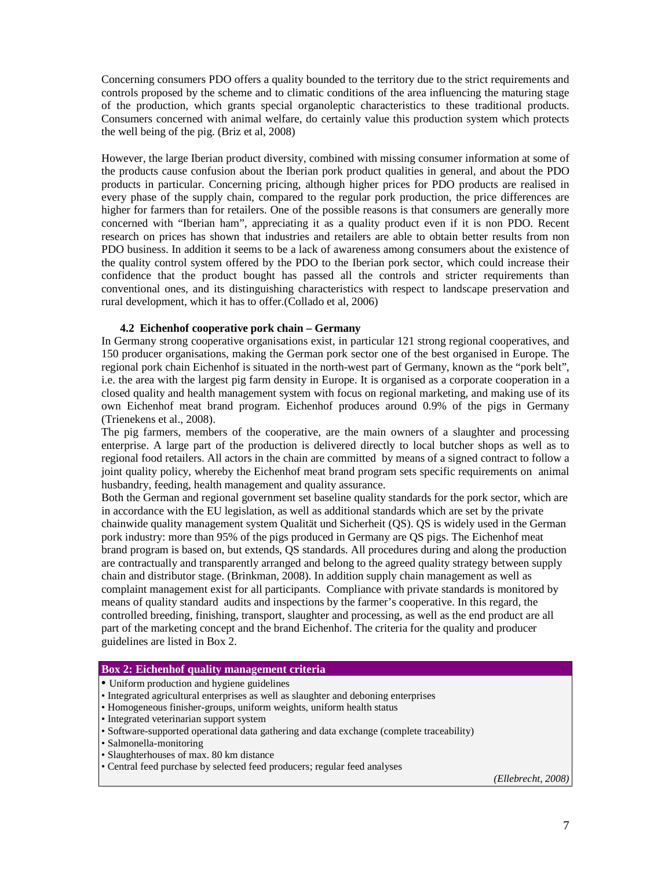Concerning consumers PDO offers a quality bounded to the territory due to the strict requirements and controls proposed by the scheme and to climatic conditions of the area influencing the maturing stage of the production, which grants special organoleptic characteristics to these traditional products. Consumers concerned with animal welfare, do certainly value this production system which protects the well being of the pig. (Briz et al, 2008)

However, the large Iberian product diversity, combined with missing consumer information at some of the products cause confusion about the Iberian pork product qualities in general, and about the PDO products in particular. Concerning pricing, although higher prices for PDO products are realised in every phase of the supply chain, compared to the regular pork production, the price differences are higher for farmers than for retailers. One of the possible reasons is that consumers are generally more concerned with "Iberian ham", appreciating it as a quality product even if it is non PDO. Recent research on prices has shown that industries and retailers are able to obtain better results from non PDO business. In addition it seems to be a lack of awareness among consumers about the existence of the quality control system offered by the PDO to the Iberian pork sector, which could increase their confidence that the product bought has passed all the controls and stricter requirements than conventional ones, and its distinguishing characteristics with respect to landscape preservation and rural development, which it has to offer.(Collado et al, 2006)

#### **4.2 Eichenhof cooperative pork chain – Germany**

In Germany strong cooperative organisations exist, in particular 121 strong regional cooperatives, and 150 producer organisations, making the German pork sector one of the best organised in Europe. The regional pork chain Eichenhof is situated in the north-west part of Germany, known as the "pork belt", i.e. the area with the largest pig farm density in Europe. It is organised as a corporate cooperation in a closed quality and health management system with focus on regional marketing, and making use of its own Eichenhof meat brand program. Eichenhof produces around 0.9% of the pigs in Germany (Trienekens et al., 2008).

The pig farmers, members of the cooperative, are the main owners of a slaughter and processing enterprise. A large part of the production is delivered directly to local butcher shops as well as to regional food retailers. All actors in the chain are committed by means of a signed contract to follow a joint quality policy, whereby the Eichenhof meat brand program sets specific requirements on animal husbandry, feeding, health management and quality assurance.

Both the German and regional government set baseline quality standards for the pork sector, which are in accordance with the EU legislation, as well as additional standards which are set by the private chainwide quality management system Qualität und Sicherheit (QS). QS is widely used in the German pork industry: more than 95% of the pigs produced in Germany are QS pigs. The Eichenhof meat brand program is based on, but extends, QS standards. All procedures during and along the production are contractually and transparently arranged and belong to the agreed quality strategy between supply chain and distributor stage. (Brinkman, 2008). In addition supply chain management as well as complaint management exist for all participants. Compliance with private standards is monitored by means of quality standard audits and inspections by the farmer's cooperative. In this regard, the controlled breeding, finishing, transport, slaughter and processing, as well as the end product are all part of the marketing concept and the brand Eichenhof. The criteria for the quality and producer guidelines are listed in Box 2.

#### **Box 2: Eichenhof quality management criteria**

- Uniform production and hygiene guidelines
- Integrated agricultural enterprises as well as slaughter and deboning enterprises
- Homogeneous finisher-groups, uniform weights, uniform health status
- Integrated veterinarian support system
- Software-supported operational data gathering and data exchange (complete traceability)
- Salmonella-monitoring
- Slaughterhouses of max. 80 km distance
- Central feed purchase by selected feed producers; regular feed analyses

*(Ellebrecht, 2008)*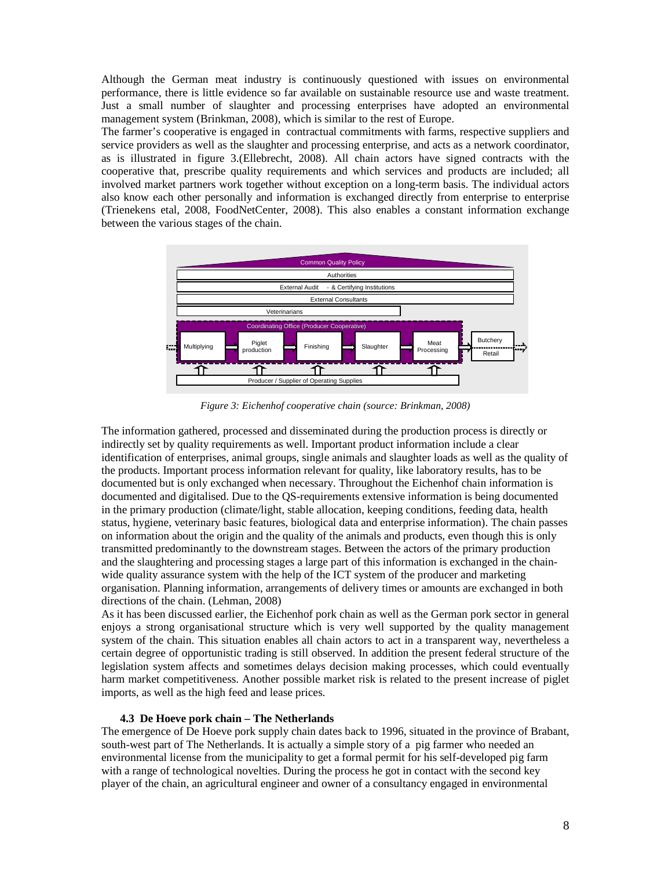Although the German meat industry is continuously questioned with issues on environmental performance, there is little evidence so far available on sustainable resource use and waste treatment. Just a small number of slaughter and processing enterprises have adopted an environmental management system (Brinkman, 2008), which is similar to the rest of Europe.

The farmer's cooperative is engaged in contractual commitments with farms, respective suppliers and service providers as well as the slaughter and processing enterprise, and acts as a network coordinator, as is illustrated in figure 3.(Ellebrecht, 2008). All chain actors have signed contracts with the cooperative that, prescribe quality requirements and which services and products are included; all involved market partners work together without exception on a long-term basis. The individual actors also know each other personally and information is exchanged directly from enterprise to enterprise (Trienekens etal, 2008, FoodNetCenter, 2008). This also enables a constant information exchange between the various stages of the chain.



*Figure 3: Eichenhof cooperative chain (source: Brinkman, 2008)* 

The information gathered, processed and disseminated during the production process is directly or indirectly set by quality requirements as well. Important product information include a clear identification of enterprises, animal groups, single animals and slaughter loads as well as the quality of the products. Important process information relevant for quality, like laboratory results, has to be documented but is only exchanged when necessary. Throughout the Eichenhof chain information is documented and digitalised. Due to the QS-requirements extensive information is being documented in the primary production (climate/light, stable allocation, keeping conditions, feeding data, health status, hygiene, veterinary basic features, biological data and enterprise information). The chain passes on information about the origin and the quality of the animals and products, even though this is only transmitted predominantly to the downstream stages. Between the actors of the primary production and the slaughtering and processing stages a large part of this information is exchanged in the chainwide quality assurance system with the help of the ICT system of the producer and marketing organisation. Planning information, arrangements of delivery times or amounts are exchanged in both directions of the chain. (Lehman, 2008)

As it has been discussed earlier, the Eichenhof pork chain as well as the German pork sector in general enjoys a strong organisational structure which is very well supported by the quality management system of the chain. This situation enables all chain actors to act in a transparent way, nevertheless a certain degree of opportunistic trading is still observed. In addition the present federal structure of the legislation system affects and sometimes delays decision making processes, which could eventually harm market competitiveness. Another possible market risk is related to the present increase of piglet imports, as well as the high feed and lease prices.

### **4.3 De Hoeve pork chain – The Netherlands**

The emergence of De Hoeve pork supply chain dates back to 1996, situated in the province of Brabant, south-west part of The Netherlands. It is actually a simple story of a pig farmer who needed an environmental license from the municipality to get a formal permit for his self-developed pig farm with a range of technological novelties. During the process he got in contact with the second key player of the chain, an agricultural engineer and owner of a consultancy engaged in environmental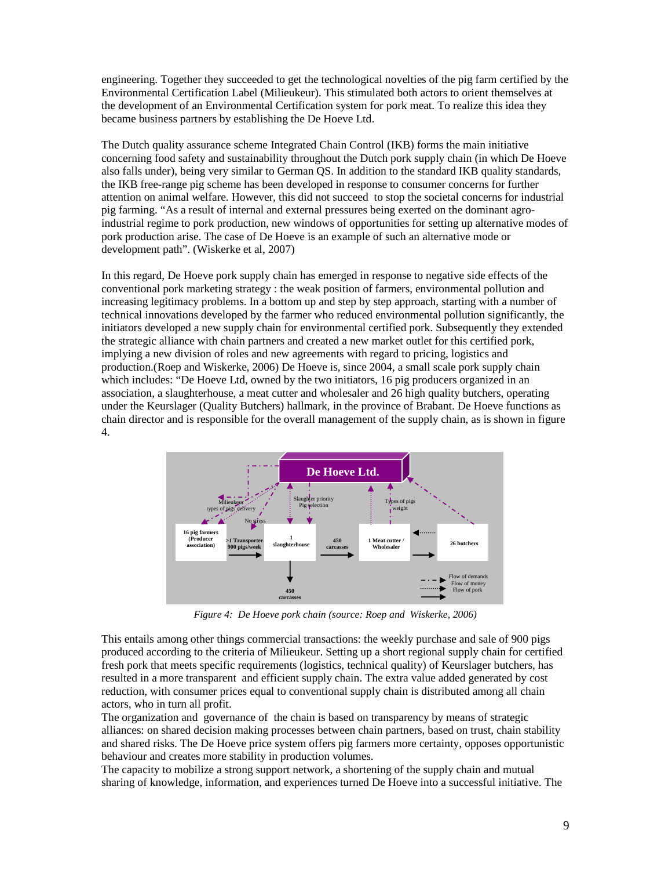engineering. Together they succeeded to get the technological novelties of the pig farm certified by the Environmental Certification Label (Milieukeur). This stimulated both actors to orient themselves at the development of an Environmental Certification system for pork meat. To realize this idea they became business partners by establishing the De Hoeve Ltd.

The Dutch quality assurance scheme Integrated Chain Control (IKB) forms the main initiative concerning food safety and sustainability throughout the Dutch pork supply chain (in which De Hoeve also falls under), being very similar to German QS. In addition to the standard IKB quality standards, the IKB free-range pig scheme has been developed in response to consumer concerns for further attention on animal welfare. However, this did not succeed to stop the societal concerns for industrial pig farming. "As a result of internal and external pressures being exerted on the dominant agroindustrial regime to pork production, new windows of opportunities for setting up alternative modes of pork production arise. The case of De Hoeve is an example of such an alternative mode or development path". (Wiskerke et al, 2007)

In this regard, De Hoeve pork supply chain has emerged in response to negative side effects of the conventional pork marketing strategy : the weak position of farmers, environmental pollution and increasing legitimacy problems. In a bottom up and step by step approach, starting with a number of technical innovations developed by the farmer who reduced environmental pollution significantly, the initiators developed a new supply chain for environmental certified pork. Subsequently they extended the strategic alliance with chain partners and created a new market outlet for this certified pork, implying a new division of roles and new agreements with regard to pricing, logistics and production.(Roep and Wiskerke, 2006) De Hoeve is, since 2004, a small scale pork supply chain which includes: "De Hoeve Ltd, owned by the two initiators, 16 pig producers organized in an association, a slaughterhouse, a meat cutter and wholesaler and 26 high quality butchers, operating under the Keurslager (Quality Butchers) hallmark, in the province of Brabant. De Hoeve functions as chain director and is responsible for the overall management of the supply chain, as is shown in figure 4.



*Figure 4: De Hoeve pork chain (source: Roep and Wiskerke, 2006)* 

This entails among other things commercial transactions: the weekly purchase and sale of 900 pigs produced according to the criteria of Milieukeur. Setting up a short regional supply chain for certified fresh pork that meets specific requirements (logistics, technical quality) of Keurslager butchers, has resulted in a more transparent and efficient supply chain. The extra value added generated by cost reduction, with consumer prices equal to conventional supply chain is distributed among all chain actors, who in turn all profit.

The organization and governance of the chain is based on transparency by means of strategic alliances: on shared decision making processes between chain partners, based on trust, chain stability and shared risks. The De Hoeve price system offers pig farmers more certainty, opposes opportunistic behaviour and creates more stability in production volumes.

The capacity to mobilize a strong support network, a shortening of the supply chain and mutual sharing of knowledge, information, and experiences turned De Hoeve into a successful initiative. The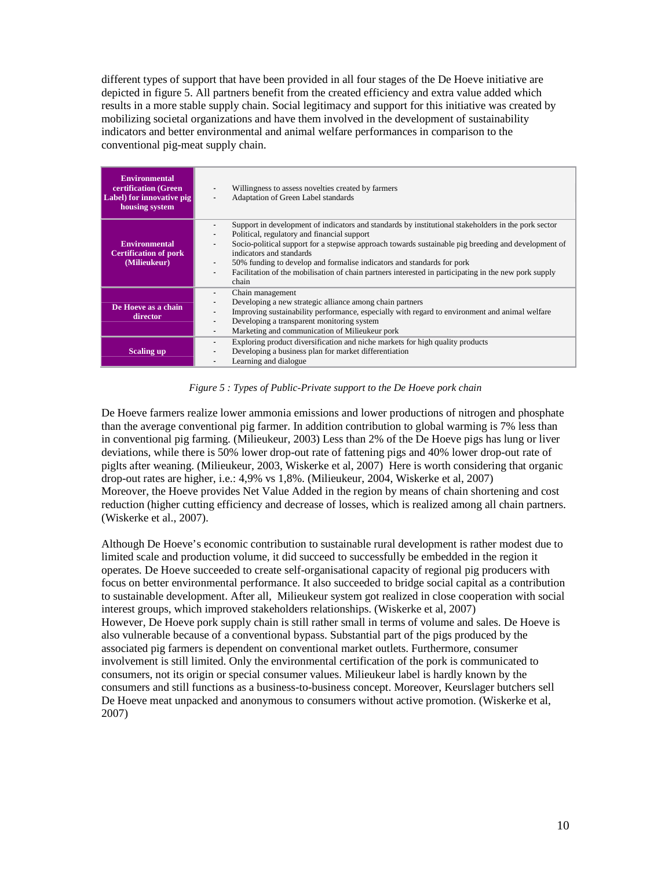different types of support that have been provided in all four stages of the De Hoeve initiative are depicted in figure 5. All partners benefit from the created efficiency and extra value added which results in a more stable supply chain. Social legitimacy and support for this initiative was created by mobilizing societal organizations and have them involved in the development of sustainability indicators and better environmental and animal welfare performances in comparison to the conventional pig-meat supply chain.

| <b>Environmental</b><br>certification (Green<br>Label) for innovative pig<br>housing system | Willingness to assess novelties created by farmers<br>Adaptation of Green Label standards                                                                                                                                                                                                                                                                                                                                                                                                                          |
|---------------------------------------------------------------------------------------------|--------------------------------------------------------------------------------------------------------------------------------------------------------------------------------------------------------------------------------------------------------------------------------------------------------------------------------------------------------------------------------------------------------------------------------------------------------------------------------------------------------------------|
| <b>Environmental</b><br><b>Certification of pork</b><br>(Milieukeur)                        | Support in development of indicators and standards by institutional stakeholders in the pork sector<br>Political, regulatory and financial support<br>٠<br>Socio-political support for a stepwise approach towards sustainable pig breeding and development of<br>indicators and standards<br>50% funding to develop and formalise indicators and standards for pork<br>Facilitation of the mobilisation of chain partners interested in participating in the new pork supply<br>$\overline{\phantom{a}}$<br>chain |
| De Hoeve as a chain<br>director                                                             | Chain management<br>Developing a new strategic alliance among chain partners<br>Improving sustainability performance, especially with regard to environment and animal welfare<br>Developing a transparent monitoring system<br>Marketing and communication of Milieukeur pork<br>$\overline{\phantom{a}}$                                                                                                                                                                                                         |
| <b>Scaling up</b>                                                                           | Exploring product diversification and niche markets for high quality products<br>Developing a business plan for market differentiation<br>Learning and dialogue                                                                                                                                                                                                                                                                                                                                                    |

*Figure 5 : Types of Public-Private support to the De Hoeve pork chain* 

De Hoeve farmers realize lower ammonia emissions and lower productions of nitrogen and phosphate than the average conventional pig farmer. In addition contribution to global warming is 7% less than in conventional pig farming. (Milieukeur, 2003) Less than 2% of the De Hoeve pigs has lung or liver deviations, while there is 50% lower drop-out rate of fattening pigs and 40% lower drop-out rate of piglts after weaning. (Milieukeur, 2003, Wiskerke et al, 2007) Here is worth considering that organic drop-out rates are higher, i.e.: 4,9% vs 1,8%. (Milieukeur, 2004, Wiskerke et al, 2007) Moreover, the Hoeve provides Net Value Added in the region by means of chain shortening and cost reduction (higher cutting efficiency and decrease of losses, which is realized among all chain partners. (Wiskerke et al., 2007).

Although De Hoeve's economic contribution to sustainable rural development is rather modest due to limited scale and production volume, it did succeed to successfully be embedded in the region it operates. De Hoeve succeeded to create self-organisational capacity of regional pig producers with focus on better environmental performance. It also succeeded to bridge social capital as a contribution to sustainable development. After all, Milieukeur system got realized in close cooperation with social interest groups, which improved stakeholders relationships. (Wiskerke et al, 2007) However, De Hoeve pork supply chain is still rather small in terms of volume and sales. De Hoeve is also vulnerable because of a conventional bypass. Substantial part of the pigs produced by the associated pig farmers is dependent on conventional market outlets. Furthermore, consumer involvement is still limited. Only the environmental certification of the pork is communicated to consumers, not its origin or special consumer values. Milieukeur label is hardly known by the consumers and still functions as a business-to-business concept. Moreover, Keurslager butchers sell De Hoeve meat unpacked and anonymous to consumers without active promotion. (Wiskerke et al, 2007)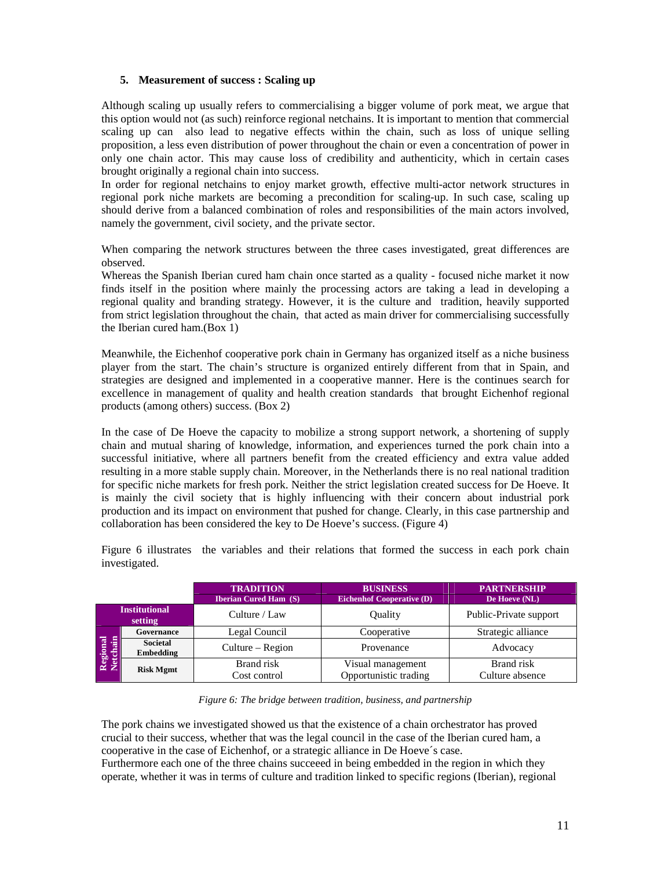# **5. Measurement of success : Scaling up**

Although scaling up usually refers to commercialising a bigger volume of pork meat, we argue that this option would not (as such) reinforce regional netchains. It is important to mention that commercial scaling up can also lead to negative effects within the chain, such as loss of unique selling proposition, a less even distribution of power throughout the chain or even a concentration of power in only one chain actor. This may cause loss of credibility and authenticity, which in certain cases brought originally a regional chain into success.

In order for regional netchains to enjoy market growth, effective multi-actor network structures in regional pork niche markets are becoming a precondition for scaling-up. In such case, scaling up should derive from a balanced combination of roles and responsibilities of the main actors involved, namely the government, civil society, and the private sector.

When comparing the network structures between the three cases investigated, great differences are observed.

Whereas the Spanish Iberian cured ham chain once started as a quality - focused niche market it now finds itself in the position where mainly the processing actors are taking a lead in developing a regional quality and branding strategy. However, it is the culture and tradition, heavily supported from strict legislation throughout the chain, that acted as main driver for commercialising successfully the Iberian cured ham.(Box 1)

Meanwhile, the Eichenhof cooperative pork chain in Germany has organized itself as a niche business player from the start. The chain's structure is organized entirely different from that in Spain, and strategies are designed and implemented in a cooperative manner. Here is the continues search for excellence in management of quality and health creation standards that brought Eichenhof regional products (among others) success. (Box 2)

In the case of De Hoeve the capacity to mobilize a strong support network, a shortening of supply chain and mutual sharing of knowledge, information, and experiences turned the pork chain into a successful initiative, where all partners benefit from the created efficiency and extra value added resulting in a more stable supply chain. Moreover, in the Netherlands there is no real national tradition for specific niche markets for fresh pork. Neither the strict legislation created success for De Hoeve. It is mainly the civil society that is highly influencing with their concern about industrial pork production and its impact on environment that pushed for change. Clearly, in this case partnership and collaboration has been considered the key to De Hoeve's success. (Figure 4)

Figure 6 illustrates the variables and their relations that formed the success in each pork chain investigated.

|                                 |                       | <b>TRADITION</b>             | <b>BUSINESS</b>                            | <b>PARTNERSHIP</b>            |
|---------------------------------|-----------------------|------------------------------|--------------------------------------------|-------------------------------|
|                                 |                       | <b>Iberian Cured Ham (S)</b> | <b>Eichenhof Cooperative (D)</b>           | De Hoeve (NL)                 |
| <b>Institutional</b><br>setting |                       | Culture / $Law$              | Ouality                                    | Public-Private support        |
| Regional<br>Netchain            | Governance            | Legal Council                | Cooperative                                | Strategic alliance            |
|                                 | Societal<br>Embedding | $Culture - Region$           | Provenance                                 | Advocacy                      |
|                                 | <b>Risk Mgmt</b>      | Brand risk<br>Cost control   | Visual management<br>Opportunistic trading | Brand risk<br>Culture absence |

### *Figure 6: The bridge between tradition, business, and partnership*

The pork chains we investigated showed us that the existence of a chain orchestrator has proved crucial to their success, whether that was the legal council in the case of the Iberian cured ham, a cooperative in the case of Eichenhof, or a strategic alliance in De Hoeve´s case.

Furthermore each one of the three chains succeeed in being embedded in the region in which they operate, whether it was in terms of culture and tradition linked to specific regions (Iberian), regional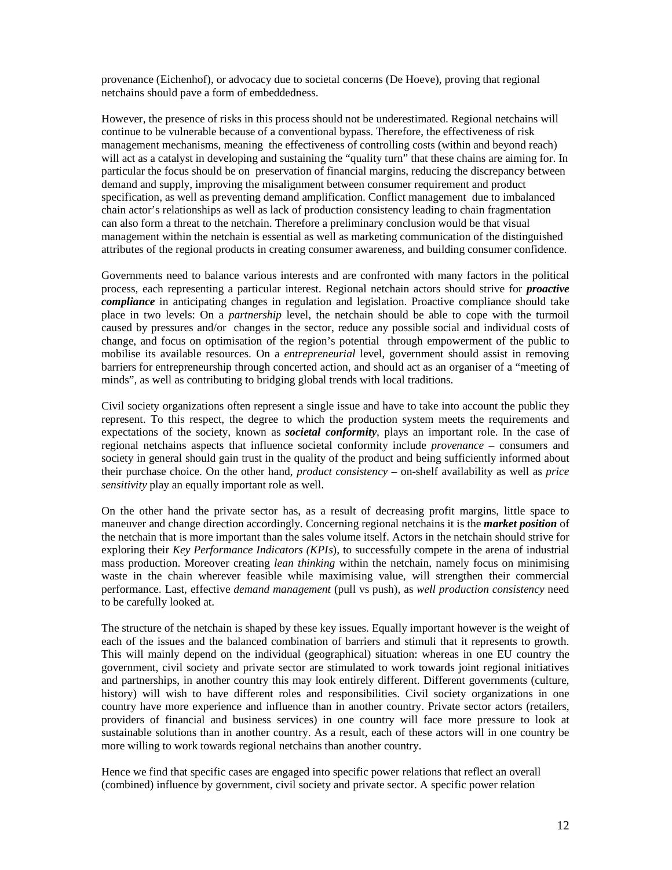provenance (Eichenhof), or advocacy due to societal concerns (De Hoeve), proving that regional netchains should pave a form of embeddedness.

However, the presence of risks in this process should not be underestimated. Regional netchains will continue to be vulnerable because of a conventional bypass. Therefore, the effectiveness of risk management mechanisms, meaning the effectiveness of controlling costs (within and beyond reach) will act as a catalyst in developing and sustaining the "quality turn" that these chains are aiming for. In particular the focus should be on preservation of financial margins, reducing the discrepancy between demand and supply, improving the misalignment between consumer requirement and product specification, as well as preventing demand amplification. Conflict management due to imbalanced chain actor's relationships as well as lack of production consistency leading to chain fragmentation can also form a threat to the netchain. Therefore a preliminary conclusion would be that visual management within the netchain is essential as well as marketing communication of the distinguished attributes of the regional products in creating consumer awareness, and building consumer confidence.

Governments need to balance various interests and are confronted with many factors in the political process, each representing a particular interest. Regional netchain actors should strive for *proactive compliance* in anticipating changes in regulation and legislation. Proactive compliance should take place in two levels: On a *partnership* level, the netchain should be able to cope with the turmoil caused by pressures and/or changes in the sector, reduce any possible social and individual costs of change, and focus on optimisation of the region's potential through empowerment of the public to mobilise its available resources. On a *entrepreneurial* level, government should assist in removing barriers for entrepreneurship through concerted action, and should act as an organiser of a "meeting of minds", as well as contributing to bridging global trends with local traditions.

Civil society organizations often represent a single issue and have to take into account the public they represent. To this respect, the degree to which the production system meets the requirements and expectations of the society, known as *societal conformity,* plays an important role. In the case of regional netchains aspects that influence societal conformity include *provenance* – consumers and society in general should gain trust in the quality of the product and being sufficiently informed about their purchase choice. On the other hand, *product consistency* – on-shelf availability as well as *price sensitivity* play an equally important role as well.

On the other hand the private sector has, as a result of decreasing profit margins, little space to maneuver and change direction accordingly. Concerning regional netchains it is the *market position* of the netchain that is more important than the sales volume itself. Actors in the netchain should strive for exploring their *Key Performance Indicators (KPIs*), to successfully compete in the arena of industrial mass production. Moreover creating *lean thinking* within the netchain, namely focus on minimising waste in the chain wherever feasible while maximising value, will strengthen their commercial performance. Last, effective *demand management* (pull vs push), as *well production consistency* need to be carefully looked at.

The structure of the netchain is shaped by these key issues. Equally important however is the weight of each of the issues and the balanced combination of barriers and stimuli that it represents to growth. This will mainly depend on the individual (geographical) situation: whereas in one EU country the government, civil society and private sector are stimulated to work towards joint regional initiatives and partnerships, in another country this may look entirely different. Different governments (culture, history) will wish to have different roles and responsibilities. Civil society organizations in one country have more experience and influence than in another country. Private sector actors (retailers, providers of financial and business services) in one country will face more pressure to look at sustainable solutions than in another country. As a result, each of these actors will in one country be more willing to work towards regional netchains than another country.

Hence we find that specific cases are engaged into specific power relations that reflect an overall (combined) influence by government, civil society and private sector. A specific power relation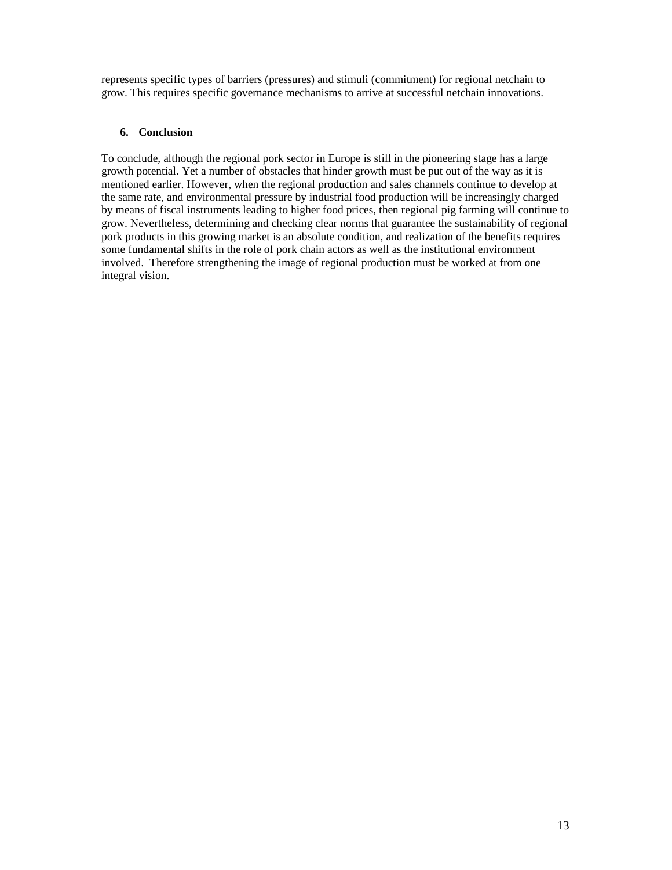represents specific types of barriers (pressures) and stimuli (commitment) for regional netchain to grow. This requires specific governance mechanisms to arrive at successful netchain innovations.

# **6. Conclusion**

To conclude, although the regional pork sector in Europe is still in the pioneering stage has a large growth potential. Yet a number of obstacles that hinder growth must be put out of the way as it is mentioned earlier. However, when the regional production and sales channels continue to develop at the same rate, and environmental pressure by industrial food production will be increasingly charged by means of fiscal instruments leading to higher food prices, then regional pig farming will continue to grow. Nevertheless, determining and checking clear norms that guarantee the sustainability of regional pork products in this growing market is an absolute condition, and realization of the benefits requires some fundamental shifts in the role of pork chain actors as well as the institutional environment involved. Therefore strengthening the image of regional production must be worked at from one integral vision.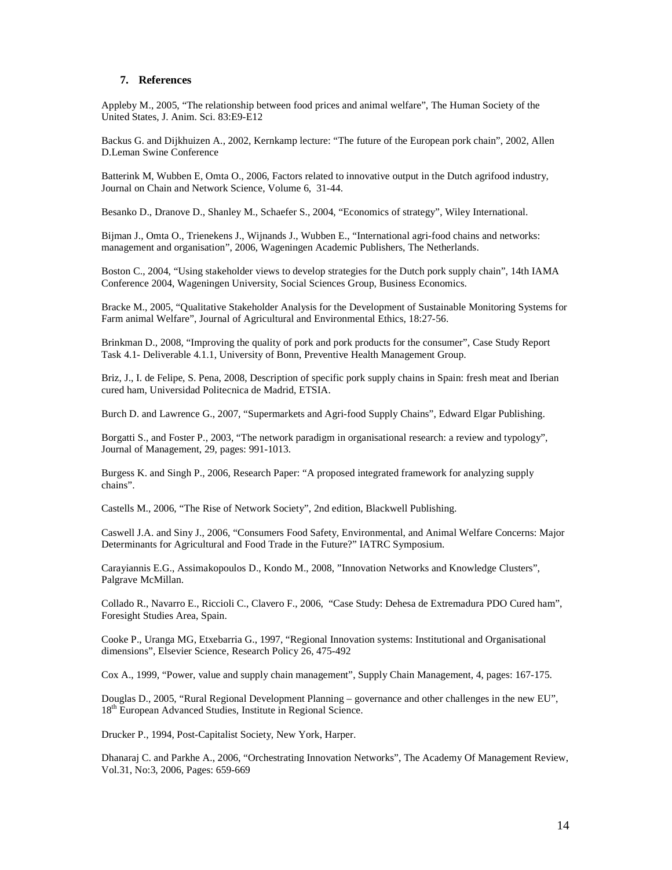## **7. References**

Appleby M., 2005, "The relationship between food prices and animal welfare", The Human Society of the United States, J. Anim. Sci. 83:E9-E12

Backus G. and Dijkhuizen A., 2002, Kernkamp lecture: "The future of the European pork chain", 2002, Allen D.Leman Swine Conference

Batterink M, Wubben E, Omta O., 2006, Factors related to innovative output in the Dutch agrifood industry, Journal on Chain and Network Science, Volume 6, 31-44.

Besanko D., Dranove D., Shanley M., Schaefer S., 2004, "Economics of strategy", Wiley International.

Bijman J., Omta O., Trienekens J., Wijnands J., Wubben E., "International agri-food chains and networks: management and organisation", 2006, Wageningen Academic Publishers, The Netherlands.

Boston C., 2004, "Using stakeholder views to develop strategies for the Dutch pork supply chain", 14th IAMA Conference 2004, Wageningen University, Social Sciences Group, Business Economics.

Bracke M., 2005, "Qualitative Stakeholder Analysis for the Development of Sustainable Monitoring Systems for Farm animal Welfare", Journal of Agricultural and Environmental Ethics, 18:27-56.

Brinkman D., 2008, "Improving the quality of pork and pork products for the consumer", Case Study Report Task 4.1- Deliverable 4.1.1, University of Bonn, Preventive Health Management Group.

Briz, J., I. de Felipe, S. Pena, 2008, Description of specific pork supply chains in Spain: fresh meat and Iberian cured ham, Universidad Politecnica de Madrid, ETSIA.

Burch D. and Lawrence G., 2007, "Supermarkets and Agri-food Supply Chains", Edward Elgar Publishing.

Borgatti S., and Foster P., 2003, "The network paradigm in organisational research: a review and typology", Journal of Management, 29, pages: 991-1013.

Burgess K. and Singh P., 2006, Research Paper: "A proposed integrated framework for analyzing supply chains".

Castells M., 2006, "The Rise of Network Society", 2nd edition, Blackwell Publishing.

Caswell J.A. and Siny J., 2006, "Consumers Food Safety, Environmental, and Animal Welfare Concerns: Major Determinants for Agricultural and Food Trade in the Future?" IATRC Symposium.

Carayiannis E.G., Assimakopoulos D., Kondo M., 2008, "Innovation Networks and Knowledge Clusters", Palgrave McMillan.

Collado R., Navarro E., Riccioli C., Clavero F., 2006, "Case Study: Dehesa de Extremadura PDO Cured ham", Foresight Studies Area, Spain.

Cooke P., Uranga MG, Etxebarria G., 1997, "Regional Innovation systems: Institutional and Organisational dimensions", Elsevier Science, Research Policy 26, 475-492

Cox A., 1999, "Power, value and supply chain management", Supply Chain Management, 4, pages: 167-175.

Douglas D., 2005, "Rural Regional Development Planning – governance and other challenges in the new EU", 18<sup>th</sup> European Advanced Studies, Institute in Regional Science.

Drucker P., 1994, Post-Capitalist Society, New York, Harper.

Dhanaraj C. and Parkhe A., 2006, "Orchestrating Innovation Networks", The Academy Of Management Review, Vol.31, No:3, 2006, Pages: 659-669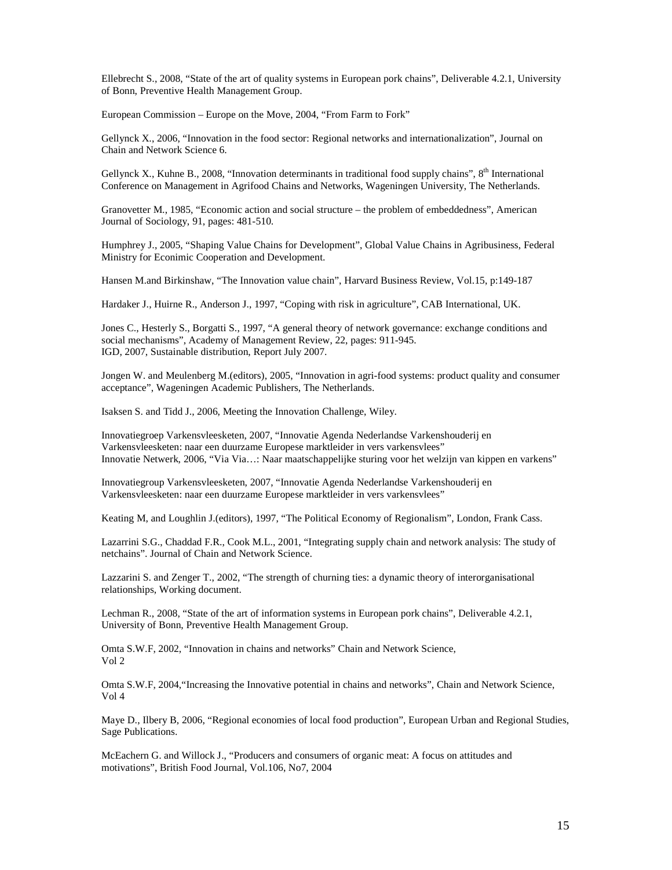Ellebrecht S., 2008, "State of the art of quality systems in European pork chains", Deliverable 4.2.1, University of Bonn, Preventive Health Management Group.

European Commission – Europe on the Move, 2004, "From Farm to Fork"

Gellynck X., 2006, "Innovation in the food sector: Regional networks and internationalization", Journal on Chain and Network Science 6.

Gellynck X., Kuhne B., 2008, "Innovation determinants in traditional food supply chains",  $8<sup>th</sup>$  International Conference on Management in Agrifood Chains and Networks, Wageningen University, The Netherlands.

Granovetter M., 1985, "Economic action and social structure – the problem of embeddedness", American Journal of Sociology, 91, pages: 481-510.

Humphrey J., 2005, "Shaping Value Chains for Development", Global Value Chains in Agribusiness, Federal Ministry for Econimic Cooperation and Development.

Hansen M.and Birkinshaw, "The Innovation value chain", Harvard Business Review, Vol.15, p:149-187

Hardaker J., Huirne R., Anderson J., 1997, "Coping with risk in agriculture", CAB International, UK.

Jones C., Hesterly S., Borgatti S., 1997, "A general theory of network governance: exchange conditions and social mechanisms", Academy of Management Review, 22, pages: 911-945. IGD, 2007, Sustainable distribution, Report July 2007.

Jongen W. and Meulenberg M.(editors), 2005, "Innovation in agri-food systems: product quality and consumer acceptance", Wageningen Academic Publishers, The Netherlands.

Isaksen S. and Tidd J., 2006, Meeting the Innovation Challenge, Wiley.

Innovatiegroep Varkensvleesketen, 2007, "Innovatie Agenda Nederlandse Varkenshouderij en Varkensvleesketen: naar een duurzame Europese marktleider in vers varkensvlees" Innovatie Netwerk, 2006, "Via Via…: Naar maatschappelijke sturing voor het welzijn van kippen en varkens"

Innovatiegroup Varkensvleesketen, 2007, "Innovatie Agenda Nederlandse Varkenshouderij en Varkensvleesketen: naar een duurzame Europese marktleider in vers varkensvlees"

Keating M, and Loughlin J.(editors), 1997, "The Political Economy of Regionalism", London, Frank Cass.

Lazarrini S.G., Chaddad F.R., Cook M.L., 2001, "Integrating supply chain and network analysis: The study of netchains". Journal of Chain and Network Science.

Lazzarini S. and Zenger T., 2002, "The strength of churning ties: a dynamic theory of interorganisational relationships, Working document.

Lechman R., 2008, "State of the art of information systems in European pork chains", Deliverable 4.2.1, University of Bonn, Preventive Health Management Group.

Omta S.W.F, 2002, "Innovation in chains and networks" Chain and Network Science, Vol 2

Omta S.W.F, 2004,"Increasing the Innovative potential in chains and networks", Chain and Network Science, Vol 4

Maye D., Ilbery B, 2006, "Regional economies of local food production", European Urban and Regional Studies, Sage Publications.

McEachern G. and Willock J., "Producers and consumers of organic meat: A focus on attitudes and motivations", British Food Journal, Vol.106, No7, 2004